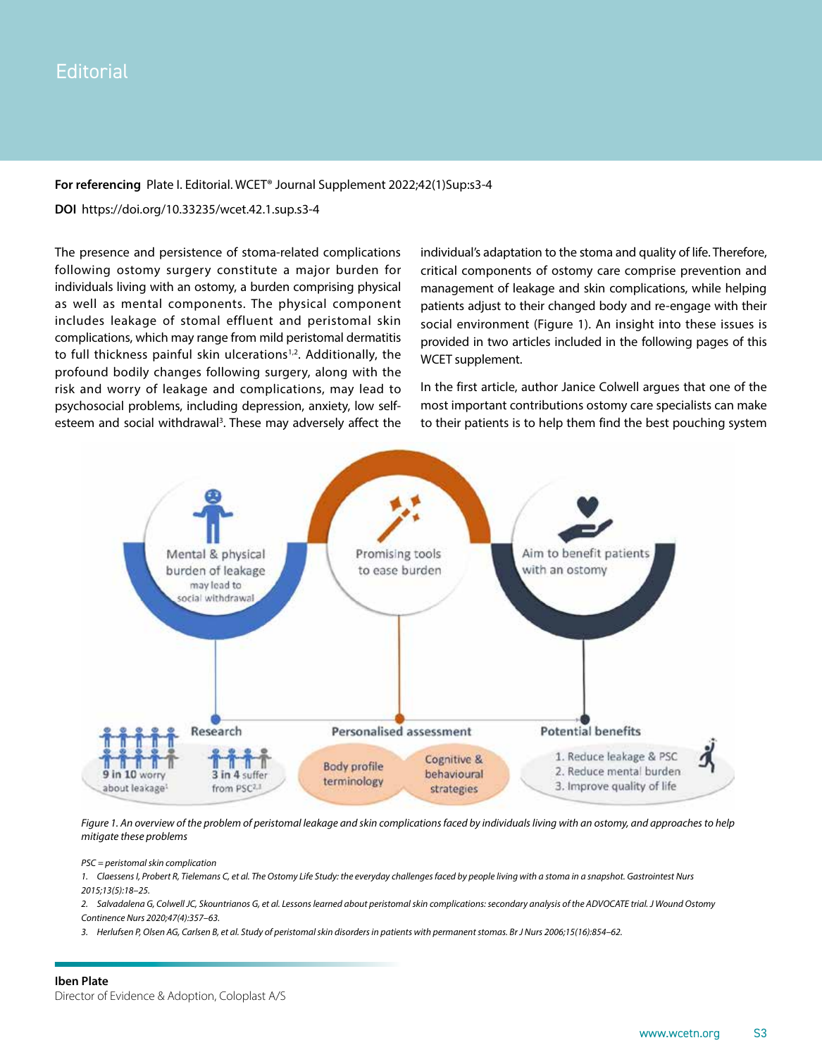## **Editorial**

## **For referencing** Plate I. Editorial. WCET® Journal Supplement 2022;42(1)Sup:s3-4

**DOI** https://doi.org/10.33235/wcet.42.1.sup.s3-4

The presence and persistence of stoma-related complications following ostomy surgery constitute a major burden for individuals living with an ostomy, a burden comprising physical as well as mental components. The physical component includes leakage of stomal effluent and peristomal skin complications, which may range from mild peristomal dermatitis to full thickness painful skin ulcerations $1,2$ . Additionally, the profound bodily changes following surgery, along with the risk and worry of leakage and complications, may lead to psychosocial problems, including depression, anxiety, low selfesteem and social withdrawal<sup>3</sup>. These may adversely affect the individual's adaptation to the stoma and quality of life. Therefore, critical components of ostomy care comprise prevention and management of leakage and skin complications, while helping patients adjust to their changed body and re-engage with their social environment (Figure 1). An insight into these issues is provided in two articles included in the following pages of this WCET supplement.

In the first article, author Janice Colwell argues that one of the most important contributions ostomy care specialists can make to their patients is to help them find the best pouching system



Figure 1. An overview of the problem of peristomal leakage and skin complications faced by individuals living with an ostomy, and approaches to help *mitigate these problems*

*PSC = peristomal skin complication*

*1. Claessens I, Probert R, Tielemans C, et al. The Ostomy Life Study: the everyday challenges faced by people living with a stoma in a snapshot. Gastrointest Nurs 2015;13(5):18–25.*

2. Salvadalena G, Colwell JC, Skountrianos G, et al. Lessons learned about peristomal skin complications: secondary analysis of the ADVOCATE trial. J Wound Ostomy *Continence Nurs 2020;47(4):357–63.*

*3. Herlufsen P, Olsen AG, Carlsen B, et al. Study of peristomal skin disorders in patients with permanent stomas. Br J Nurs 2006;15(16):854–62.*